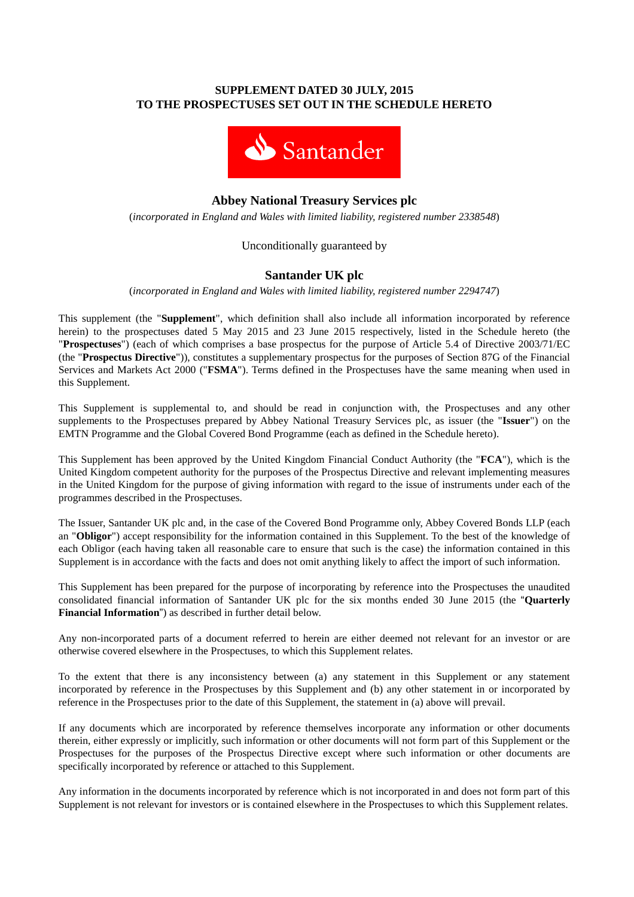# **SUPPLEMENT DATED 30 JULY, 2015 TO THE PROSPECTUSES SET OUT IN THE SCHEDULE HERETO**



# **Abbey National Treasury Services plc**

(*incorporated in England and Wales with limited liability, registered number 2338548*)

## Unconditionally guaranteed by

# **Santander UK plc**

(*incorporated in England and Wales with limited liability, registered number 2294747*)

This supplement (the "**Supplement**", which definition shall also include all information incorporated by reference herein) to the prospectuses dated 5 May 2015 and 23 June 2015 respectively, listed in the Schedule hereto (the "**Prospectuses**") (each of which comprises a base prospectus for the purpose of Article 5.4 of Directive 2003/71/EC (the "**Prospectus Directive**")), constitutes a supplementary prospectus for the purposes of Section 87G of the Financial Services and Markets Act 2000 ("**FSMA**"). Terms defined in the Prospectuses have the same meaning when used in this Supplement.

This Supplement is supplemental to, and should be read in conjunction with, the Prospectuses and any other supplements to the Prospectuses prepared by Abbey National Treasury Services plc, as issuer (the "**Issuer**") on the EMTN Programme and the Global Covered Bond Programme (each as defined in the Schedule hereto).

This Supplement has been approved by the United Kingdom Financial Conduct Authority (the "**FCA**"), which is the United Kingdom competent authority for the purposes of the Prospectus Directive and relevant implementing measures in the United Kingdom for the purpose of giving information with regard to the issue of instruments under each of the programmes described in the Prospectuses.

The Issuer, Santander UK plc and, in the case of the Covered Bond Programme only, Abbey Covered Bonds LLP (each an "**Obligor**") accept responsibility for the information contained in this Supplement. To the best of the knowledge of each Obligor (each having taken all reasonable care to ensure that such is the case) the information contained in this Supplement is in accordance with the facts and does not omit anything likely to affect the import of such information.

This Supplement has been prepared for the purpose of incorporating by reference into the Prospectuses the unaudited consolidated financial information of Santander UK plc for the six months ended 30 June 2015 (the "**Quarterly Financial Information**") as described in further detail below.

Any non-incorporated parts of a document referred to herein are either deemed not relevant for an investor or are otherwise covered elsewhere in the Prospectuses, to which this Supplement relates.

To the extent that there is any inconsistency between (a) any statement in this Supplement or any statement incorporated by reference in the Prospectuses by this Supplement and (b) any other statement in or incorporated by reference in the Prospectuses prior to the date of this Supplement, the statement in (a) above will prevail.

If any documents which are incorporated by reference themselves incorporate any information or other documents therein, either expressly or implicitly, such information or other documents will not form part of this Supplement or the Prospectuses for the purposes of the Prospectus Directive except where such information or other documents are specifically incorporated by reference or attached to this Supplement.

Any information in the documents incorporated by reference which is not incorporated in and does not form part of this Supplement is not relevant for investors or is contained elsewhere in the Prospectuses to which this Supplement relates.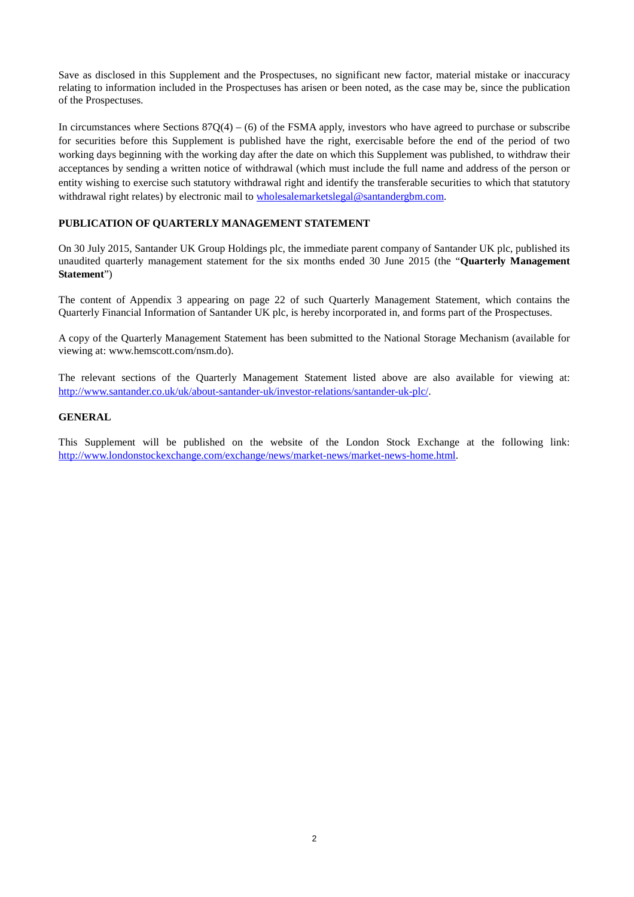Save as disclosed in this Supplement and the Prospectuses, no significant new factor, material mistake or inaccuracy relating to information included in the Prospectuses has arisen or been noted, as the case may be, since the publication of the Prospectuses.

In circumstances where Sections  $87Q(4) - (6)$  of the FSMA apply, investors who have agreed to purchase or subscribe for securities before this Supplement is published have the right, exercisable before the end of the period of two working days beginning with the working day after the date on which this Supplement was published, to withdraw their acceptances by sending a written notice of withdrawal (which must include the full name and address of the person or entity wishing to exercise such statutory withdrawal right and identify the transferable securities to which that statutory withdrawal right relates) by electronic mail to wholesalemarketslegal@santandergbm.com.

#### **PUBLICATION OF QUARTERLY MANAGEMENT STATEMENT**

On 30 July 2015, Santander UK Group Holdings plc, the immediate parent company of Santander UK plc, published its unaudited quarterly management statement for the six months ended 30 June 2015 (the "**Quarterly Management Statement**")

The content of Appendix 3 appearing on page 22 of such Quarterly Management Statement, which contains the Quarterly Financial Information of Santander UK plc, is hereby incorporated in, and forms part of the Prospectuses.

A copy of the Quarterly Management Statement has been submitted to the National Storage Mechanism (available for viewing at: www.hemscott.com/nsm.do).

The relevant sections of the Quarterly Management Statement listed above are also available for viewing at: http://www.santander.co.uk/uk/about-santander-uk/investor-relations/santander-uk-plc/.

### **GENERAL**

This Supplement will be published on the website of the London Stock Exchange at the following link: http://www.londonstockexchange.com/exchange/news/market-news/market-news-home.html.